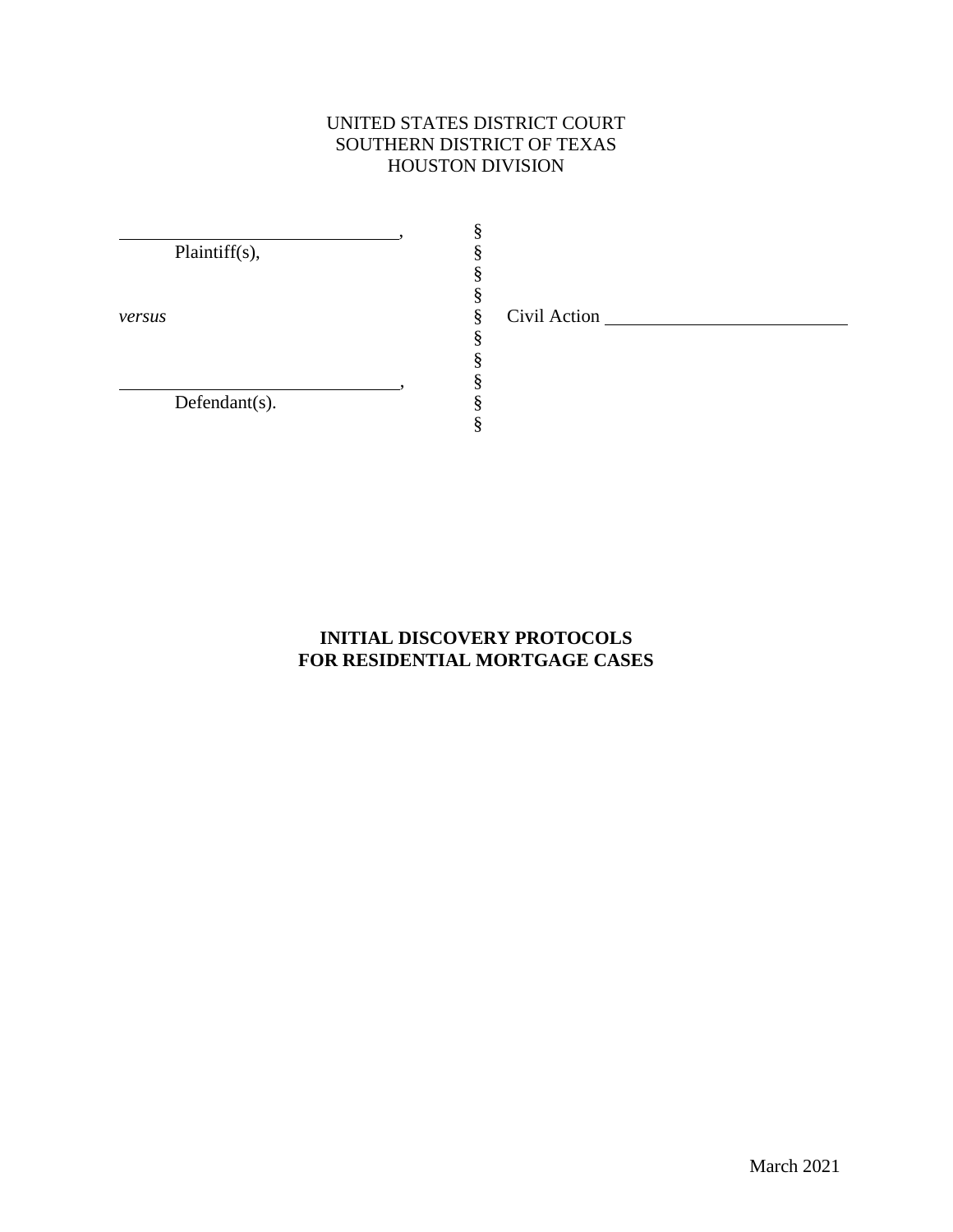## UNITED STATES DISTRICT COURT SOUTHERN DISTRICT OF TEXAS HOUSTON DIVISION

§ § § § § § § § § §

,

,

Plaintiff(s),

*versus*

Defendant(s).

Civil Action

## **INITIAL DISCOVERY PROTOCOLS FOR RESIDENTIAL MORTGAGE CASES**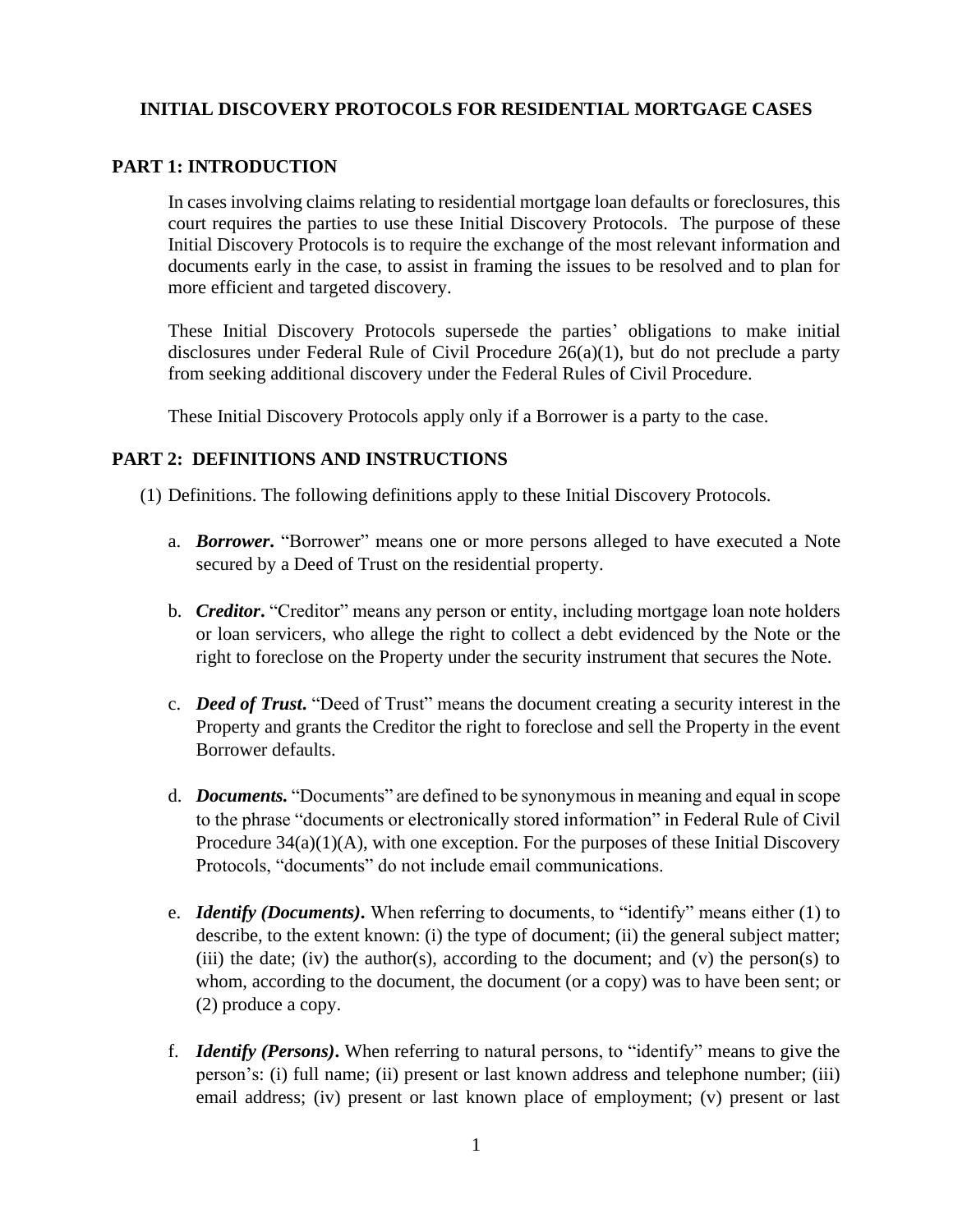## **INITIAL DISCOVERY PROTOCOLS FOR RESIDENTIAL MORTGAGE CASES**

#### **PART 1: INTRODUCTION**

In cases involving claims relating to residential mortgage loan defaults or foreclosures, this court requires the parties to use these Initial Discovery Protocols. The purpose of these Initial Discovery Protocols is to require the exchange of the most relevant information and documents early in the case, to assist in framing the issues to be resolved and to plan for more efficient and targeted discovery.

These Initial Discovery Protocols supersede the parties' obligations to make initial disclosures under Federal Rule of Civil Procedure 26(a)(1), but do not preclude a party from seeking additional discovery under the Federal Rules of Civil Procedure.

These Initial Discovery Protocols apply only if a Borrower is a party to the case.

#### **PART 2: DEFINITIONS AND INSTRUCTIONS**

(1) Definitions. The following definitions apply to these Initial Discovery Protocols.

- a. *Borrower***.** "Borrower" means one or more persons alleged to have executed a Note secured by a Deed of Trust on the residential property.
- b. *Creditor***.** "Creditor" means any person or entity, including mortgage loan note holders or loan servicers, who allege the right to collect a debt evidenced by the Note or the right to foreclose on the Property under the security instrument that secures the Note.
- c. *Deed of Trust***.** "Deed of Trust" means the document creating a security interest in the Property and grants the Creditor the right to foreclose and sell the Property in the event Borrower defaults.
- d. *Documents.* "Documents" are defined to be synonymous in meaning and equal in scope to the phrase "documents or electronically stored information" in Federal Rule of Civil Procedure  $34(a)(1)(A)$ , with one exception. For the purposes of these Initial Discovery Protocols, "documents" do not include email communications.
- e. *Identify (Documents)***.** When referring to documents, to "identify" means either (1) to describe, to the extent known: (i) the type of document; (ii) the general subject matter; (iii) the date; (iv) the author(s), according to the document; and (v) the person(s) to whom, according to the document, the document (or a copy) was to have been sent; or (2) produce a copy.
- f. *Identify (Persons)***.** When referring to natural persons, to "identify" means to give the person's: (i) full name; (ii) present or last known address and telephone number; (iii) email address; (iv) present or last known place of employment; (v) present or last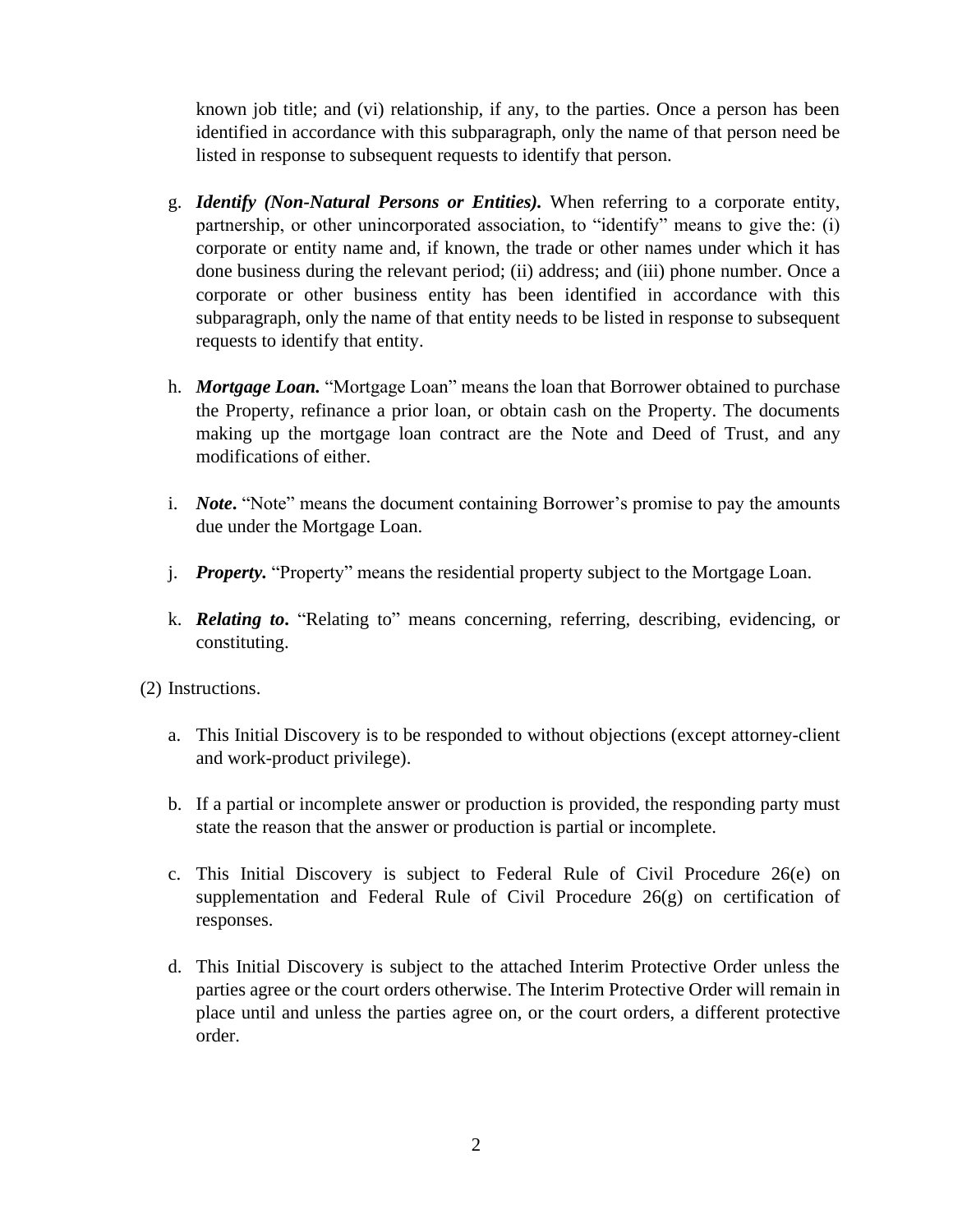known job title; and (vi) relationship, if any, to the parties. Once a person has been identified in accordance with this subparagraph, only the name of that person need be listed in response to subsequent requests to identify that person.

- g. *Identify (Non-Natural Persons or Entities).* When referring to a corporate entity, partnership, or other unincorporated association, to "identify" means to give the: (i) corporate or entity name and, if known, the trade or other names under which it has done business during the relevant period; (ii) address; and (iii) phone number. Once a corporate or other business entity has been identified in accordance with this subparagraph, only the name of that entity needs to be listed in response to subsequent requests to identify that entity.
- h. *Mortgage Loan.* "Mortgage Loan" means the loan that Borrower obtained to purchase the Property, refinance a prior loan, or obtain cash on the Property. The documents making up the mortgage loan contract are the Note and Deed of Trust, and any modifications of either.
- i. *Note*. "Note" means the document containing Borrower's promise to pay the amounts due under the Mortgage Loan.
- j. *Property.* "Property" means the residential property subject to the Mortgage Loan.
- k. *Relating to***.** "Relating to" means concerning, referring, describing, evidencing, or constituting.
- (2) Instructions.
	- a. This Initial Discovery is to be responded to without objections (except attorney-client and work-product privilege).
	- b. If a partial or incomplete answer or production is provided, the responding party must state the reason that the answer or production is partial or incomplete.
	- c. This Initial Discovery is subject to Federal Rule of Civil Procedure 26(e) on supplementation and Federal Rule of Civil Procedure 26(g) on certification of responses.
	- d. This Initial Discovery is subject to the attached Interim Protective Order unless the parties agree or the court orders otherwise. The Interim Protective Order will remain in place until and unless the parties agree on, or the court orders, a different protective order.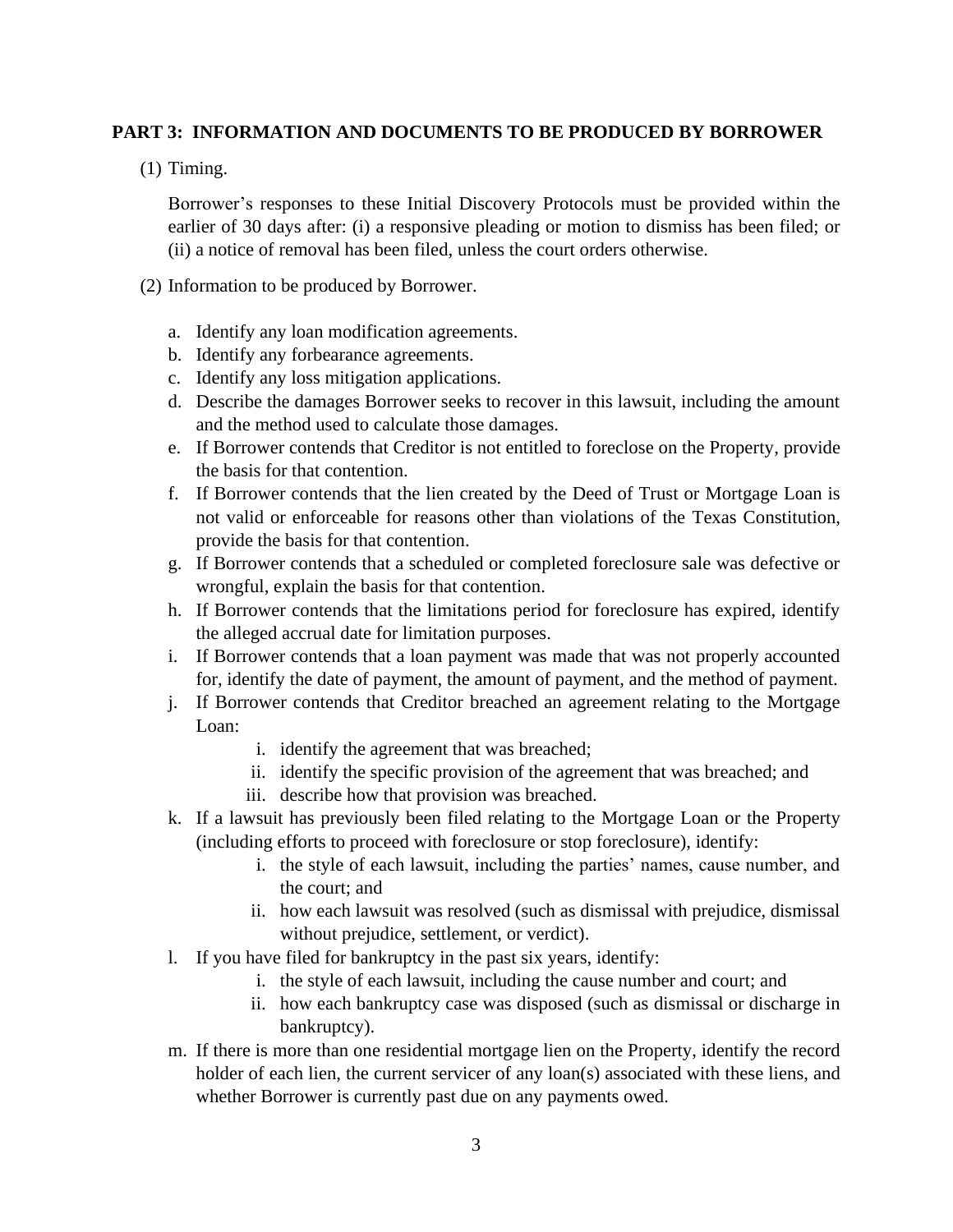### **PART 3: INFORMATION AND DOCUMENTS TO BE PRODUCED BY BORROWER**

(1) Timing.

Borrower's responses to these Initial Discovery Protocols must be provided within the earlier of 30 days after: (i) a responsive pleading or motion to dismiss has been filed; or (ii) a notice of removal has been filed, unless the court orders otherwise.

- (2) Information to be produced by Borrower.
	- a. Identify any loan modification agreements.
	- b. Identify any forbearance agreements.
	- c. Identify any loss mitigation applications.
	- d. Describe the damages Borrower seeks to recover in this lawsuit, including the amount and the method used to calculate those damages.
	- e. If Borrower contends that Creditor is not entitled to foreclose on the Property, provide the basis for that contention.
	- f. If Borrower contends that the lien created by the Deed of Trust or Mortgage Loan is not valid or enforceable for reasons other than violations of the Texas Constitution, provide the basis for that contention.
	- g. If Borrower contends that a scheduled or completed foreclosure sale was defective or wrongful, explain the basis for that contention.
	- h. If Borrower contends that the limitations period for foreclosure has expired, identify the alleged accrual date for limitation purposes.
	- i. If Borrower contends that a loan payment was made that was not properly accounted for, identify the date of payment, the amount of payment, and the method of payment.
	- j. If Borrower contends that Creditor breached an agreement relating to the Mortgage Loan:
		- i. identify the agreement that was breached;
		- ii. identify the specific provision of the agreement that was breached; and
		- iii. describe how that provision was breached.
	- k. If a lawsuit has previously been filed relating to the Mortgage Loan or the Property (including efforts to proceed with foreclosure or stop foreclosure), identify:
		- i. the style of each lawsuit, including the parties' names, cause number, and the court; and
		- ii. how each lawsuit was resolved (such as dismissal with prejudice, dismissal without prejudice, settlement, or verdict).
	- l. If you have filed for bankruptcy in the past six years, identify:
		- i. the style of each lawsuit, including the cause number and court; and
		- ii. how each bankruptcy case was disposed (such as dismissal or discharge in bankruptcy).
	- m. If there is more than one residential mortgage lien on the Property, identify the record holder of each lien, the current servicer of any loan(s) associated with these liens, and whether Borrower is currently past due on any payments owed.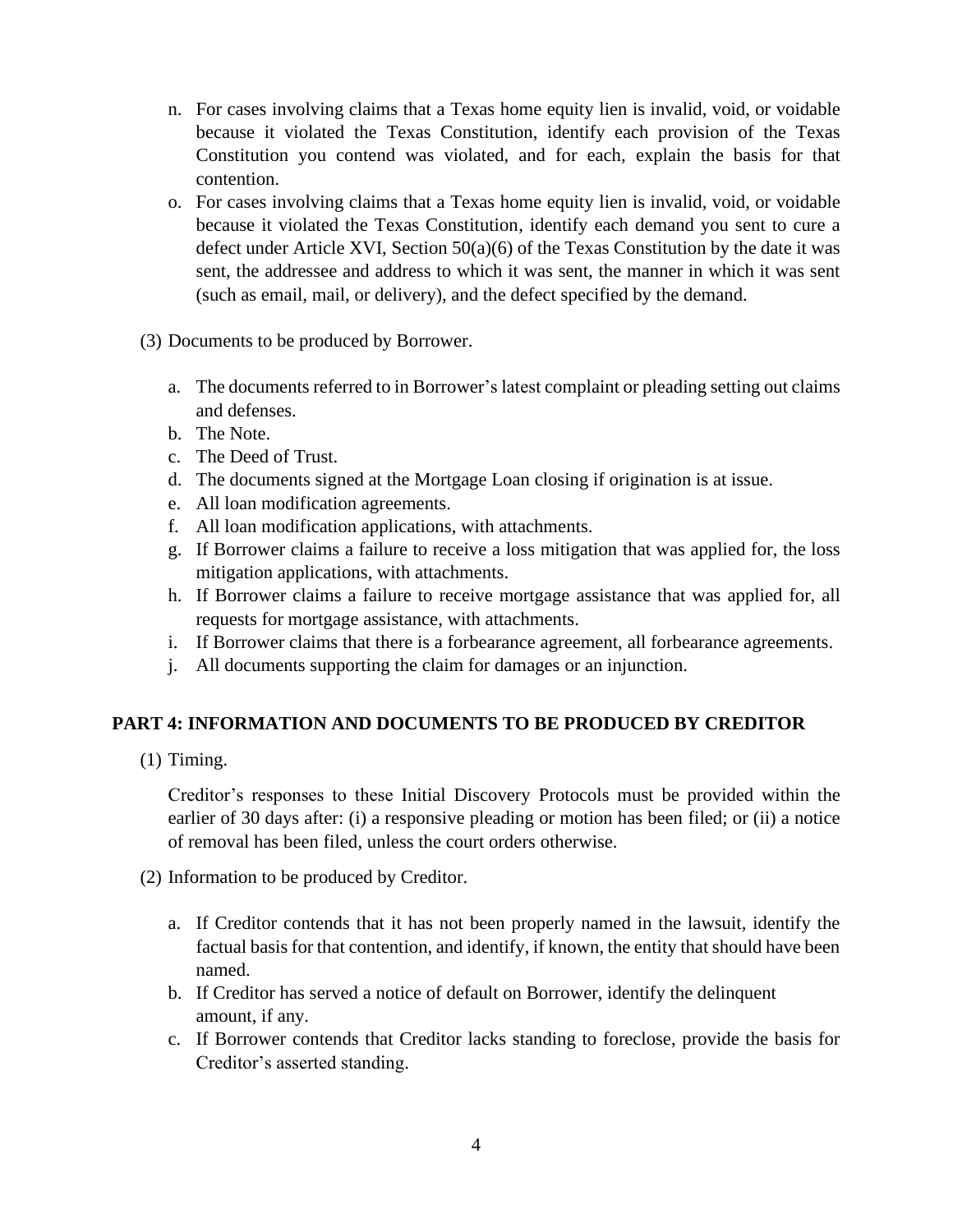- n. For cases involving claims that a Texas home equity lien is invalid, void, or voidable because it violated the Texas Constitution, identify each provision of the Texas Constitution you contend was violated, and for each, explain the basis for that contention.
- o. For cases involving claims that a Texas home equity lien is invalid, void, or voidable because it violated the Texas Constitution, identify each demand you sent to cure a defect under Article XVI, Section 50(a)(6) of the Texas Constitution by the date it was sent, the addressee and address to which it was sent, the manner in which it was sent (such as email, mail, or delivery), and the defect specified by the demand.
- (3) Documents to be produced by Borrower.
	- a. The documents referred to in Borrower's latest complaint or pleading setting out claims and defenses.
	- b. The Note.
	- c. The Deed of Trust.
	- d. The documents signed at the Mortgage Loan closing if origination is at issue.
	- e. All loan modification agreements.
	- f. All loan modification applications, with attachments.
	- g. If Borrower claims a failure to receive a loss mitigation that was applied for, the loss mitigation applications, with attachments.
	- h. If Borrower claims a failure to receive mortgage assistance that was applied for, all requests for mortgage assistance, with attachments.
	- i. If Borrower claims that there is a forbearance agreement, all forbearance agreements.
	- j. All documents supporting the claim for damages or an injunction.

## **PART 4: INFORMATION AND DOCUMENTS TO BE PRODUCED BY CREDITOR**

(1) Timing.

Creditor's responses to these Initial Discovery Protocols must be provided within the earlier of 30 days after: (i) a responsive pleading or motion has been filed; or (ii) a notice of removal has been filed, unless the court orders otherwise.

(2) Information to be produced by Creditor.

- a. If Creditor contends that it has not been properly named in the lawsuit, identify the factual basis for that contention, and identify, if known, the entity that should have been named.
- b. If Creditor has served a notice of default on Borrower, identify the delinquent amount, if any.
- c. If Borrower contends that Creditor lacks standing to foreclose, provide the basis for Creditor's asserted standing.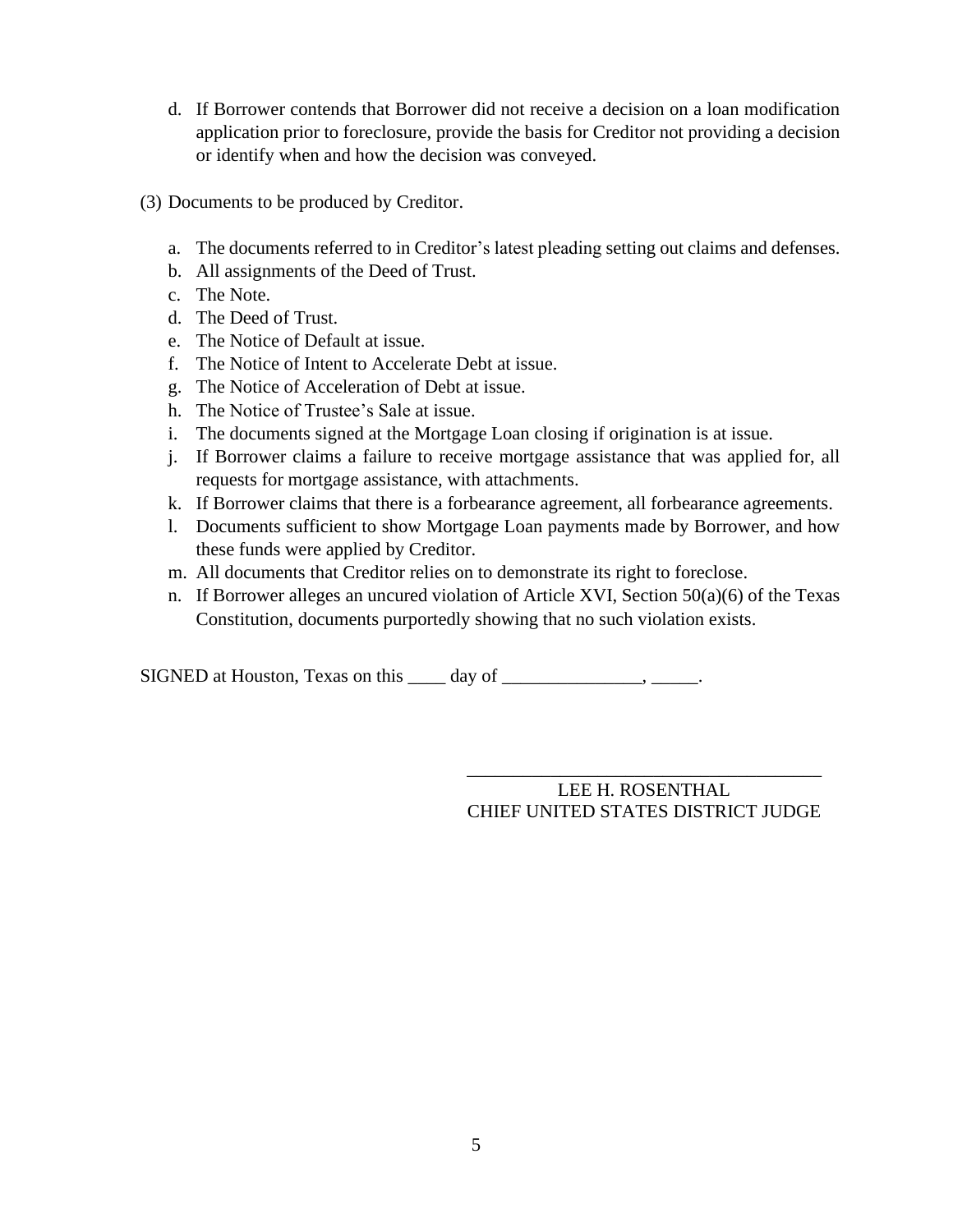- d. If Borrower contends that Borrower did not receive a decision on a loan modification application prior to foreclosure, provide the basis for Creditor not providing a decision or identify when and how the decision was conveyed.
- (3) Documents to be produced by Creditor.
	- a. The documents referred to in Creditor's latest pleading setting out claims and defenses.
	- b. All assignments of the Deed of Trust.
	- c. The Note.
	- d. The Deed of Trust.
	- e. The Notice of Default at issue.
	- f. The Notice of Intent to Accelerate Debt at issue.
	- g. The Notice of Acceleration of Debt at issue.
	- h. The Notice of Trustee's Sale at issue.
	- i. The documents signed at the Mortgage Loan closing if origination is at issue.
	- j. If Borrower claims a failure to receive mortgage assistance that was applied for, all requests for mortgage assistance, with attachments.
	- k. If Borrower claims that there is a forbearance agreement, all forbearance agreements.
	- l. Documents sufficient to show Mortgage Loan payments made by Borrower, and how these funds were applied by Creditor.
	- m. All documents that Creditor relies on to demonstrate its right to foreclose.
	- n. If Borrower alleges an uncured violation of Article XVI, Section 50(a)(6) of the Texas Constitution, documents purportedly showing that no such violation exists.

SIGNED at Houston, Texas on this \_\_\_\_\_ day of \_\_\_\_\_\_\_\_\_\_\_\_\_\_\_\_, \_\_\_\_\_\_.

\_\_\_\_\_\_\_\_\_\_\_\_\_\_\_\_\_\_\_\_\_\_\_\_\_\_\_\_\_\_\_\_\_\_\_\_\_\_ LEE H. ROSENTHAL CHIEF UNITED STATES DISTRICT JUDGE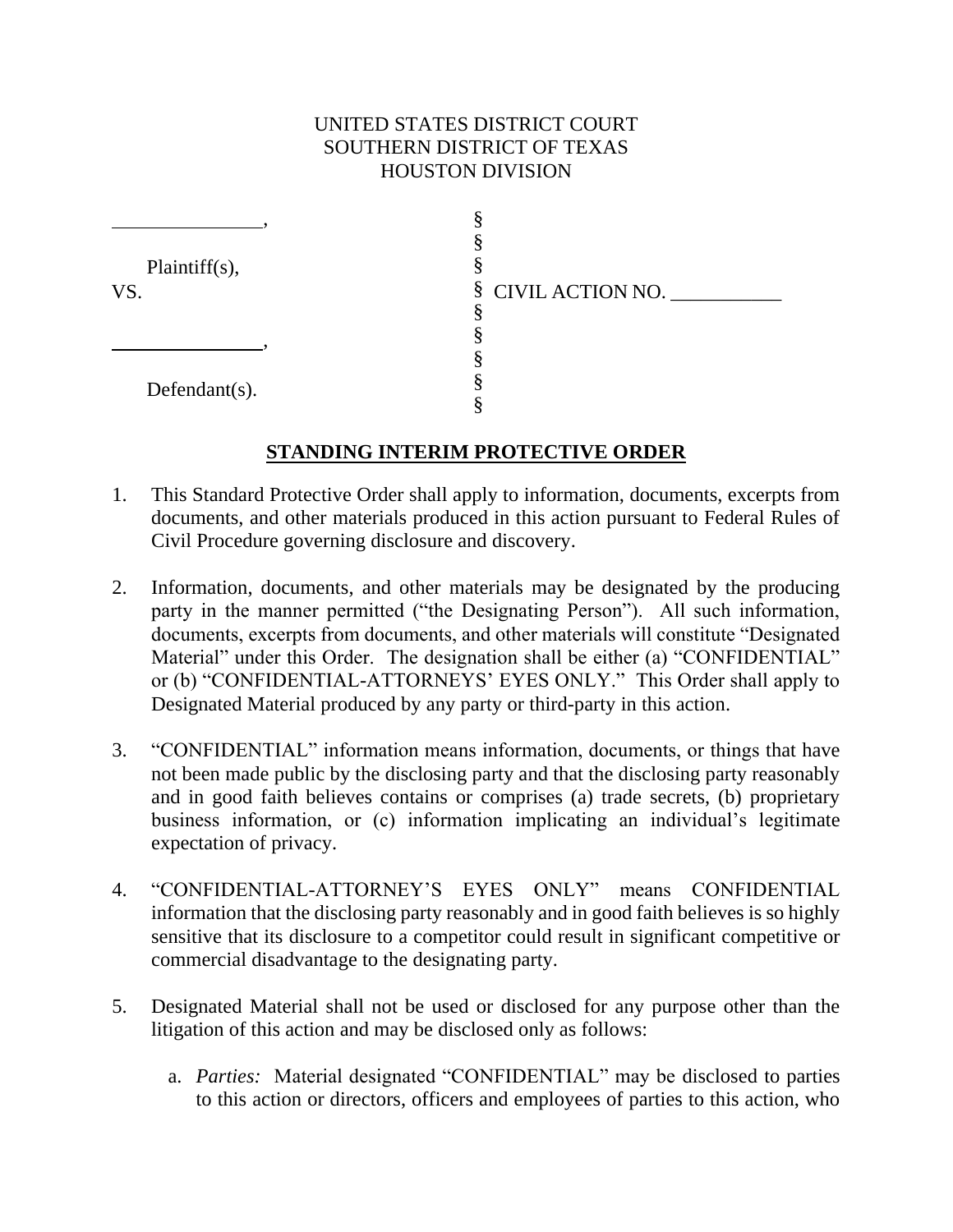# UNITED STATES DISTRICT COURT SOUTHERN DISTRICT OF TEXAS HOUSTON DIVISION

| Plaintiff $(s)$ ,<br>VS. |                    |
|--------------------------|--------------------|
|                          |                    |
|                          | § CIVIL ACTION NO. |
|                          |                    |
|                          |                    |
| Defendant $(s)$ .        |                    |
|                          |                    |
|                          |                    |

## **STANDING INTERIM PROTECTIVE ORDER**

- 1. This Standard Protective Order shall apply to information, documents, excerpts from documents, and other materials produced in this action pursuant to Federal Rules of Civil Procedure governing disclosure and discovery.
- 2. Information, documents, and other materials may be designated by the producing party in the manner permitted ("the Designating Person"). All such information, documents, excerpts from documents, and other materials will constitute "Designated Material" under this Order. The designation shall be either (a) "CONFIDENTIAL" or (b) "CONFIDENTIAL-ATTORNEYS' EYES ONLY." This Order shall apply to Designated Material produced by any party or third-party in this action.
- 3. "CONFIDENTIAL" information means information, documents, or things that have not been made public by the disclosing party and that the disclosing party reasonably and in good faith believes contains or comprises (a) trade secrets, (b) proprietary business information, or (c) information implicating an individual's legitimate expectation of privacy.
- 4. "CONFIDENTIAL-ATTORNEY'S EYES ONLY" means CONFIDENTIAL information that the disclosing party reasonably and in good faith believes is so highly sensitive that its disclosure to a competitor could result in significant competitive or commercial disadvantage to the designating party.
- 5. Designated Material shall not be used or disclosed for any purpose other than the litigation of this action and may be disclosed only as follows:
	- a. *Parties:* Material designated "CONFIDENTIAL" may be disclosed to parties to this action or directors, officers and employees of parties to this action, who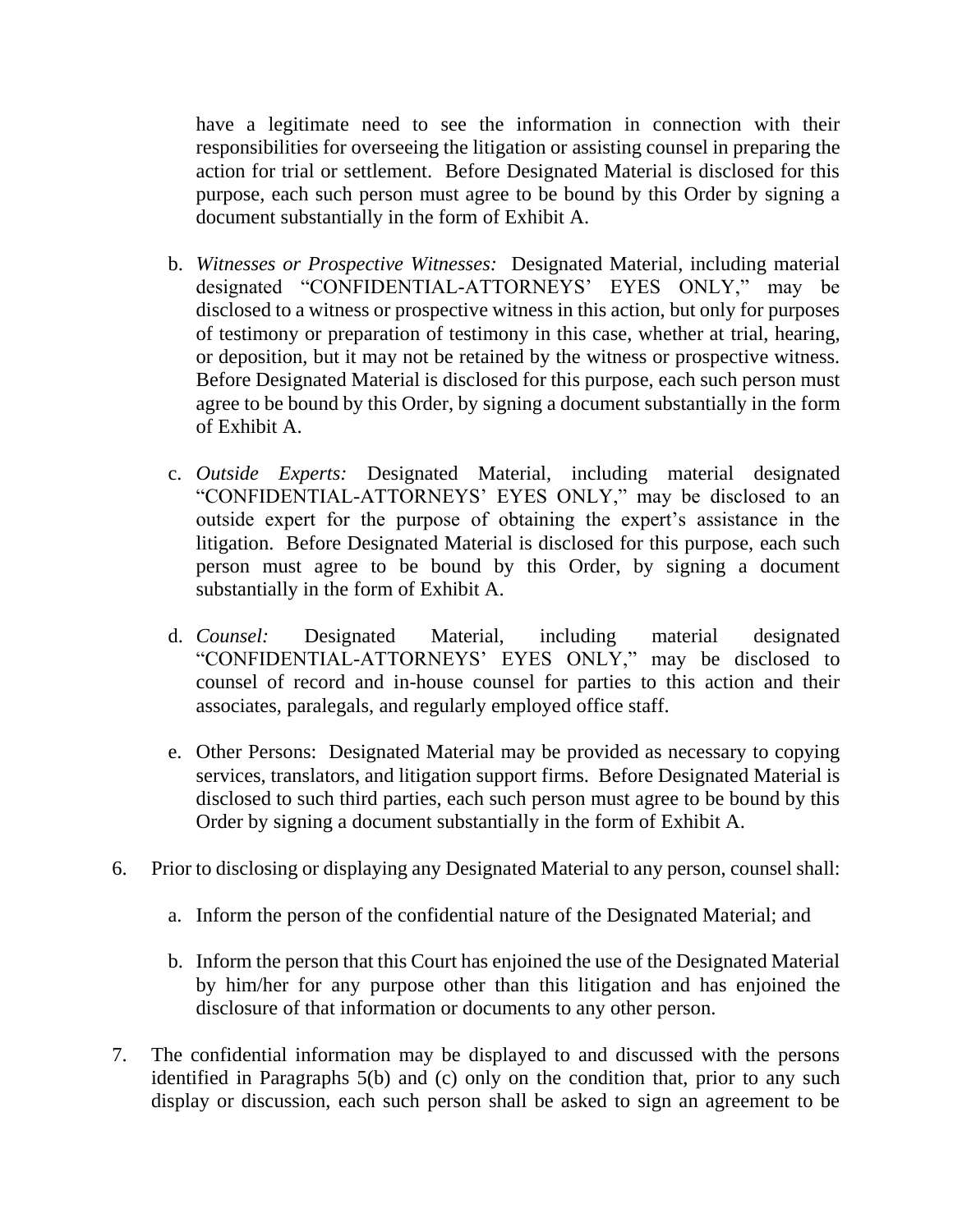have a legitimate need to see the information in connection with their responsibilities for overseeing the litigation or assisting counsel in preparing the action for trial or settlement. Before Designated Material is disclosed for this purpose, each such person must agree to be bound by this Order by signing a document substantially in the form of Exhibit A.

- b. *Witnesses or Prospective Witnesses:* Designated Material, including material designated "CONFIDENTIAL-ATTORNEYS' EYES ONLY," may be disclosed to a witness or prospective witness in this action, but only for purposes of testimony or preparation of testimony in this case, whether at trial, hearing, or deposition, but it may not be retained by the witness or prospective witness. Before Designated Material is disclosed for this purpose, each such person must agree to be bound by this Order, by signing a document substantially in the form of Exhibit A.
- c. *Outside Experts:* Designated Material, including material designated "CONFIDENTIAL-ATTORNEYS' EYES ONLY," may be disclosed to an outside expert for the purpose of obtaining the expert's assistance in the litigation. Before Designated Material is disclosed for this purpose, each such person must agree to be bound by this Order, by signing a document substantially in the form of Exhibit A.
- d. *Counsel:* Designated Material, including material designated "CONFIDENTIAL-ATTORNEYS' EYES ONLY," may be disclosed to counsel of record and in-house counsel for parties to this action and their associates, paralegals, and regularly employed office staff.
- e. Other Persons: Designated Material may be provided as necessary to copying services, translators, and litigation support firms. Before Designated Material is disclosed to such third parties, each such person must agree to be bound by this Order by signing a document substantially in the form of Exhibit A.
- 6. Prior to disclosing or displaying any Designated Material to any person, counsel shall:
	- a. Inform the person of the confidential nature of the Designated Material; and
	- b. Inform the person that this Court has enjoined the use of the Designated Material by him/her for any purpose other than this litigation and has enjoined the disclosure of that information or documents to any other person.
- 7. The confidential information may be displayed to and discussed with the persons identified in Paragraphs 5(b) and (c) only on the condition that, prior to any such display or discussion, each such person shall be asked to sign an agreement to be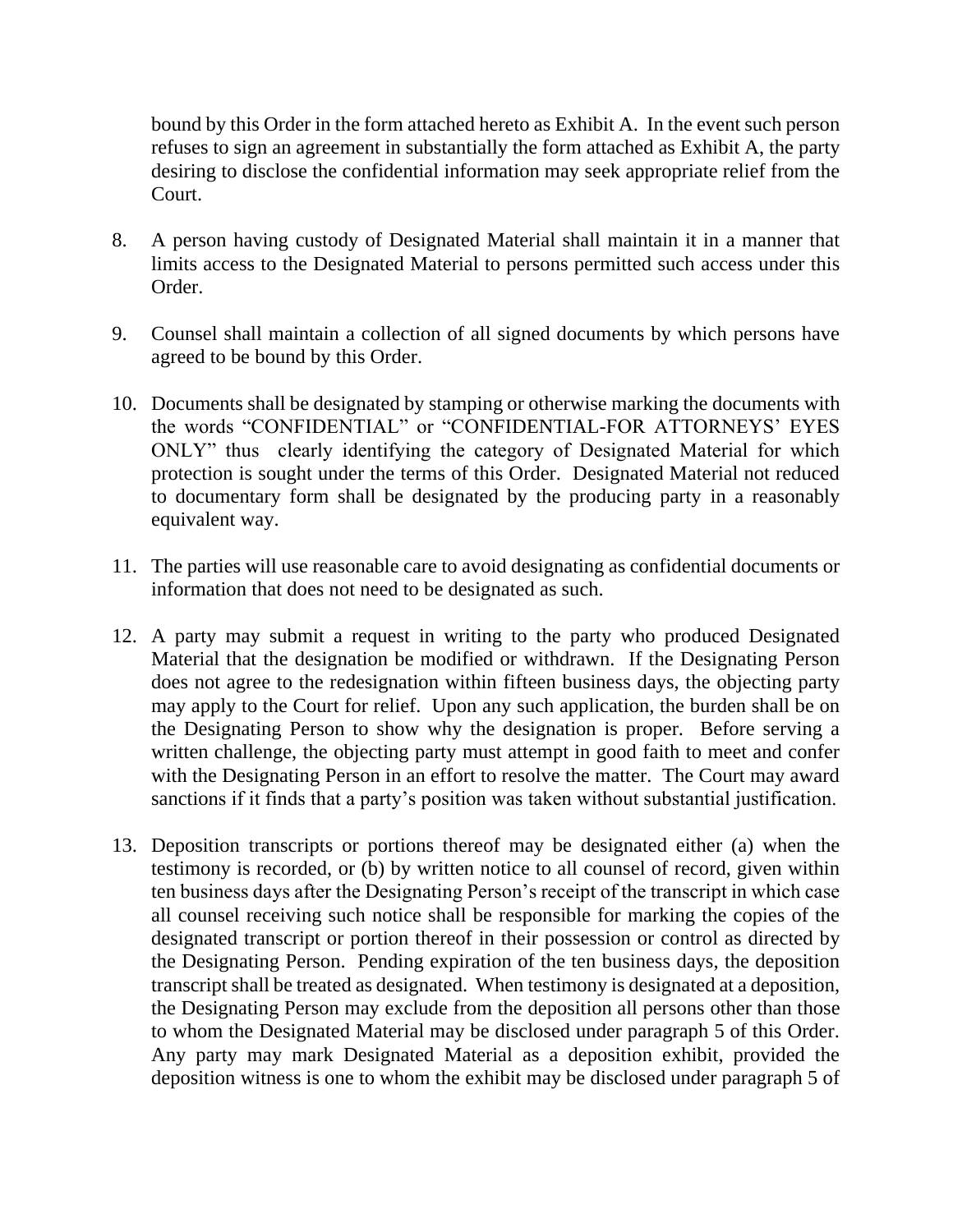bound by this Order in the form attached hereto as Exhibit A. In the event such person refuses to sign an agreement in substantially the form attached as Exhibit A, the party desiring to disclose the confidential information may seek appropriate relief from the Court.

- 8. A person having custody of Designated Material shall maintain it in a manner that limits access to the Designated Material to persons permitted such access under this Order.
- 9. Counsel shall maintain a collection of all signed documents by which persons have agreed to be bound by this Order.
- 10. Documents shall be designated by stamping or otherwise marking the documents with the words "CONFIDENTIAL" or "CONFIDENTIAL-FOR ATTORNEYS' EYES ONLY" thus clearly identifying the category of Designated Material for which protection is sought under the terms of this Order. Designated Material not reduced to documentary form shall be designated by the producing party in a reasonably equivalent way.
- 11. The parties will use reasonable care to avoid designating as confidential documents or information that does not need to be designated as such.
- 12. A party may submit a request in writing to the party who produced Designated Material that the designation be modified or withdrawn. If the Designating Person does not agree to the redesignation within fifteen business days, the objecting party may apply to the Court for relief. Upon any such application, the burden shall be on the Designating Person to show why the designation is proper. Before serving a written challenge, the objecting party must attempt in good faith to meet and confer with the Designating Person in an effort to resolve the matter. The Court may award sanctions if it finds that a party's position was taken without substantial justification.
- 13. Deposition transcripts or portions thereof may be designated either (a) when the testimony is recorded, or (b) by written notice to all counsel of record, given within ten business days after the Designating Person's receipt of the transcript in which case all counsel receiving such notice shall be responsible for marking the copies of the designated transcript or portion thereof in their possession or control as directed by the Designating Person. Pending expiration of the ten business days, the deposition transcript shall be treated as designated. When testimony is designated at a deposition, the Designating Person may exclude from the deposition all persons other than those to whom the Designated Material may be disclosed under paragraph 5 of this Order. Any party may mark Designated Material as a deposition exhibit, provided the deposition witness is one to whom the exhibit may be disclosed under paragraph 5 of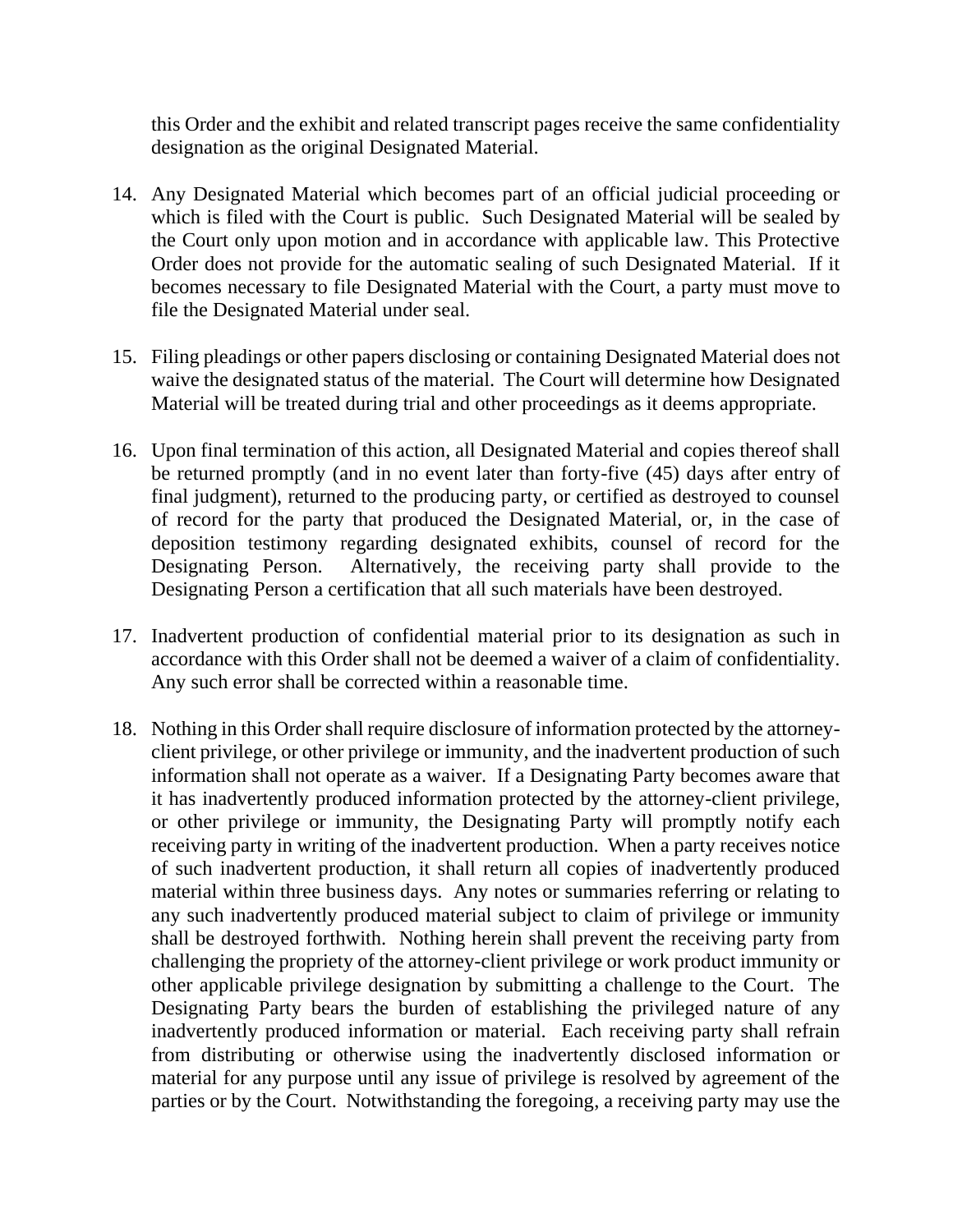this Order and the exhibit and related transcript pages receive the same confidentiality designation as the original Designated Material.

- 14. Any Designated Material which becomes part of an official judicial proceeding or which is filed with the Court is public. Such Designated Material will be sealed by the Court only upon motion and in accordance with applicable law. This Protective Order does not provide for the automatic sealing of such Designated Material. If it becomes necessary to file Designated Material with the Court, a party must move to file the Designated Material under seal.
- 15. Filing pleadings or other papers disclosing or containing Designated Material does not waive the designated status of the material. The Court will determine how Designated Material will be treated during trial and other proceedings as it deems appropriate.
- 16. Upon final termination of this action, all Designated Material and copies thereof shall be returned promptly (and in no event later than forty-five (45) days after entry of final judgment), returned to the producing party, or certified as destroyed to counsel of record for the party that produced the Designated Material, or, in the case of deposition testimony regarding designated exhibits, counsel of record for the Designating Person. Alternatively, the receiving party shall provide to the Designating Person a certification that all such materials have been destroyed.
- 17. Inadvertent production of confidential material prior to its designation as such in accordance with this Order shall not be deemed a waiver of a claim of confidentiality. Any such error shall be corrected within a reasonable time.
- 18. Nothing in this Order shall require disclosure of information protected by the attorneyclient privilege, or other privilege or immunity, and the inadvertent production of such information shall not operate as a waiver. If a Designating Party becomes aware that it has inadvertently produced information protected by the attorney-client privilege, or other privilege or immunity, the Designating Party will promptly notify each receiving party in writing of the inadvertent production. When a party receives notice of such inadvertent production, it shall return all copies of inadvertently produced material within three business days. Any notes or summaries referring or relating to any such inadvertently produced material subject to claim of privilege or immunity shall be destroyed forthwith. Nothing herein shall prevent the receiving party from challenging the propriety of the attorney-client privilege or work product immunity or other applicable privilege designation by submitting a challenge to the Court. The Designating Party bears the burden of establishing the privileged nature of any inadvertently produced information or material. Each receiving party shall refrain from distributing or otherwise using the inadvertently disclosed information or material for any purpose until any issue of privilege is resolved by agreement of the parties or by the Court. Notwithstanding the foregoing, a receiving party may use the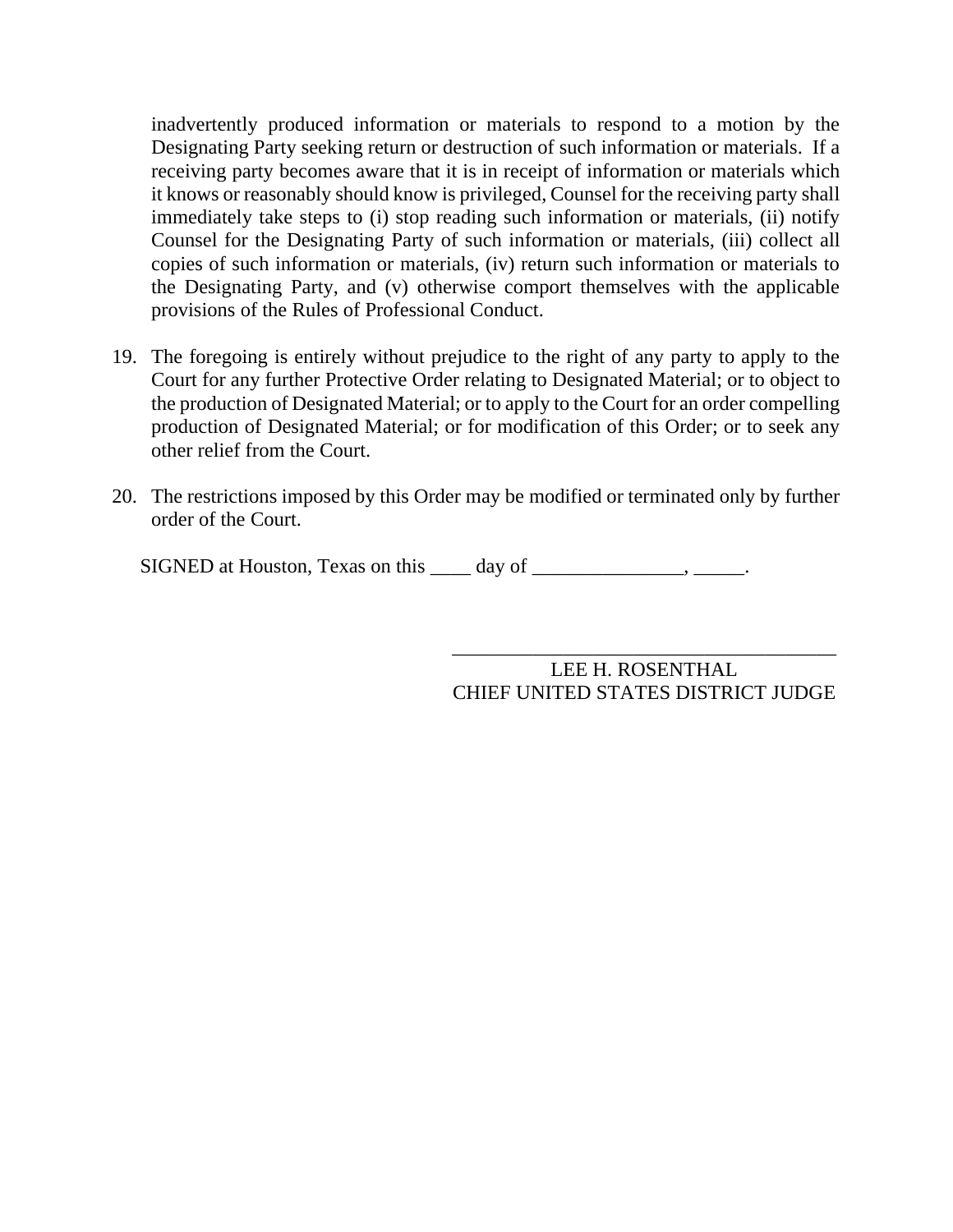inadvertently produced information or materials to respond to a motion by the Designating Party seeking return or destruction of such information or materials. If a receiving party becomes aware that it is in receipt of information or materials which it knows or reasonably should know is privileged, Counsel for the receiving party shall immediately take steps to (i) stop reading such information or materials, (ii) notify Counsel for the Designating Party of such information or materials, (iii) collect all copies of such information or materials, (iv) return such information or materials to the Designating Party, and (v) otherwise comport themselves with the applicable provisions of the Rules of Professional Conduct.

- 19. The foregoing is entirely without prejudice to the right of any party to apply to the Court for any further Protective Order relating to Designated Material; or to object to the production of Designated Material; or to apply to the Court for an order compelling production of Designated Material; or for modification of this Order; or to seek any other relief from the Court.
- 20. The restrictions imposed by this Order may be modified or terminated only by further order of the Court.

SIGNED at Houston, Texas on this \_\_\_\_ day of \_\_\_\_\_\_\_\_\_\_\_\_\_\_, \_\_\_\_\_.

LEE H. ROSENTHAL CHIEF UNITED STATES DISTRICT JUDGE

\_\_\_\_\_\_\_\_\_\_\_\_\_\_\_\_\_\_\_\_\_\_\_\_\_\_\_\_\_\_\_\_\_\_\_\_\_\_